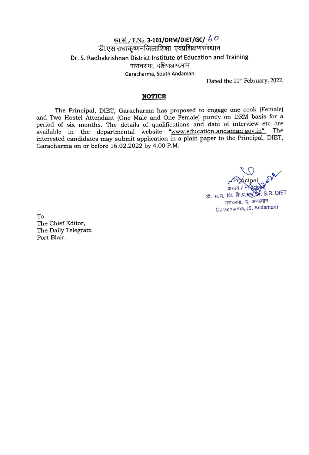# q;-r\_~\_/F.No. **3-101/DRM/DIET/GC/** *b <sup>0</sup>* डा.एस.राधाकृष्णनाजलाशिक्षा Dr. S. Radhakrishnan District Institute of Education and Training गाराचरामा, दक्षिणअण्डमान Garacharma, South Andaman

Dated the 11<sup>th</sup> February, 2022.

#### **NOTICE**

The Principal, DIET, Garacharma has proposed to engage one cook (Female) and Two Hostel Attendant (One Male and One Female) purely on ORM basis for a period of six months. The details of qualifications and date of interview etc are available in the departmental website "www.education.andaman.gov.in". The interested candidates may submit application in a plain paper to the Principal, DIET, Garacharma on or before 16.02.2022 by 4 .00 P.M.

प्राचार्य / Phi**ecipal**<br>जिल्ला प्राच**ो** कर S.R. DIET डॉ. स.रा. जि. शि.प्र.**स्** गराचरमा, द. अण्डमान Garacharma, (S. Andaman)

To The Chief Editor, The Daily Telegram Port Blair.